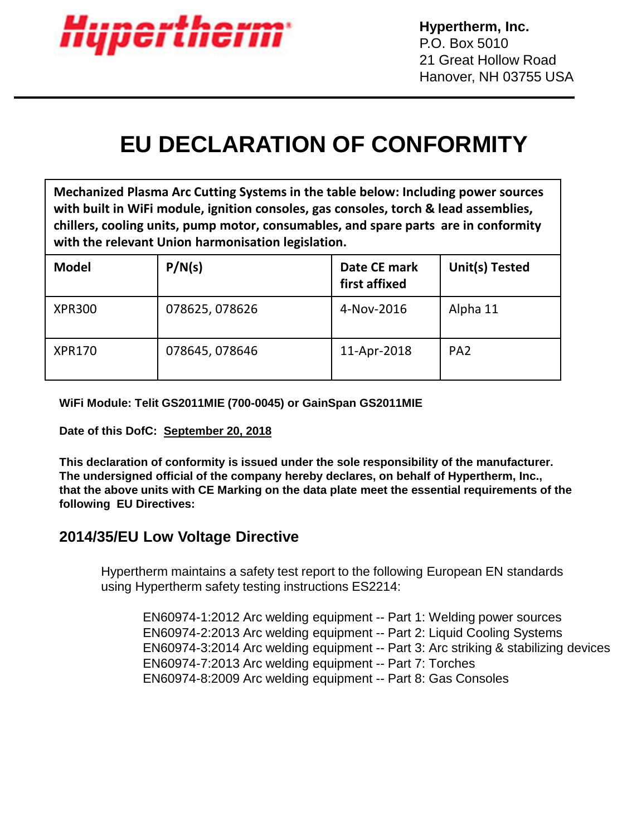

## **EU DECLARATION OF CONFORMITY**

**Mechanized Plasma Arc Cutting Systems in the table below: Including power sources with built in WiFi module, ignition consoles, gas consoles, torch & lead assemblies, chillers, cooling units, pump motor, consumables, and spare parts are in conformity with the relevant Union harmonisation legislation.**

| <b>Model</b>  | P/N(s)         | Date CE mark<br>first affixed | Unit(s) Tested  |
|---------------|----------------|-------------------------------|-----------------|
| <b>XPR300</b> | 078625, 078626 | 4-Nov-2016                    | Alpha 11        |
| <b>XPR170</b> | 078645, 078646 | 11-Apr-2018                   | PA <sub>2</sub> |

**WiFi Module: Telit GS2011MIE (700-0045) or GainSpan GS2011MIE**

**Date of this DofC: September 20, 2018**

**This declaration of conformity is issued under the sole responsibility of the manufacturer. The undersigned official of the company hereby declares, on behalf of Hypertherm, Inc., that the above units with CE Marking on the data plate meet the essential requirements of the following EU Directives:**

## **2014/35/EU Low Voltage Directive**

Hypertherm maintains a safety test report to the following European EN standards using Hypertherm safety testing instructions ES2214:

EN60974-1:2012 Arc welding equipment -- Part 1: Welding power sources EN60974-2:2013 Arc welding equipment -- Part 2: Liquid Cooling Systems EN60974-3:2014 Arc welding equipment -- Part 3: Arc striking & stabilizing devices EN60974-7:2013 Arc welding equipment -- Part 7: Torches EN60974-8:2009 Arc welding equipment -- Part 8: Gas Consoles